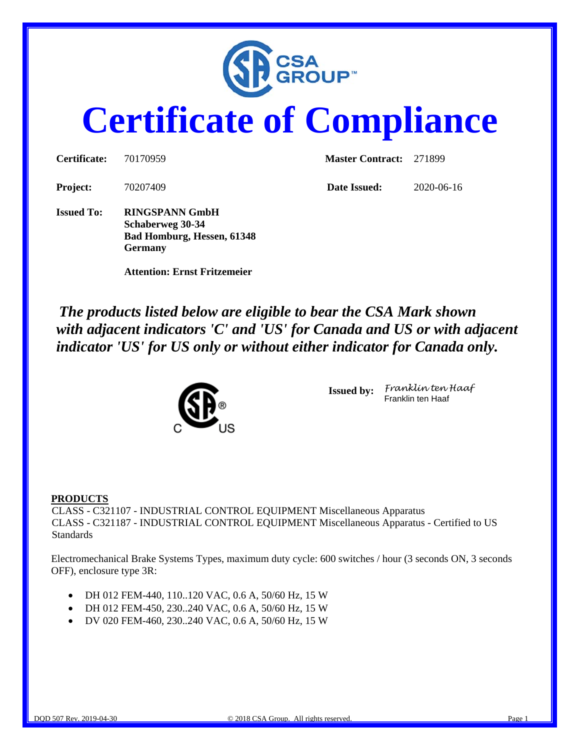

# **Certificate of Compliance**

| <b>Certificate:</b> | 70170959                                                                | <b>Master Contract: 271899</b> |            |  |
|---------------------|-------------------------------------------------------------------------|--------------------------------|------------|--|
| <b>Project:</b>     | 70207409                                                                | Date Issued:                   | 2020-06-16 |  |
| <b>Issued To:</b>   | <b>RINGSPANN GmbH</b><br>Schaberweg 30-34<br>Bad Homburg, Hessen, 61348 |                                |            |  |

*The products listed below are eligible to bear the CSA Mark shown with adjacent indicators 'C' and 'US' for Canada and US or with adjacent indicator 'US' for US only or without either indicator for Canada only.*



 **Attention: Ernst Fritzemeier** 

**Germany**

**Issued by:** *Franklin ten Haaf* Franklin ten Haaf

#### **PRODUCTS**

CLASS - C321107 - INDUSTRIAL CONTROL EQUIPMENT Miscellaneous Apparatus CLASS - C321187 - INDUSTRIAL CONTROL EQUIPMENT Miscellaneous Apparatus - Certified to US **Standards** 

Electromechanical Brake Systems Types, maximum duty cycle: 600 switches / hour (3 seconds ON, 3 seconds OFF), enclosure type 3R:

- DH 012 FEM-440, 110..120 VAC, 0.6 A, 50/60 Hz, 15 W
- DH 012 FEM-450, 230..240 VAC, 0.6 A, 50/60 Hz, 15 W
- DV 020 FEM-460, 230..240 VAC, 0.6 A, 50/60 Hz, 15 W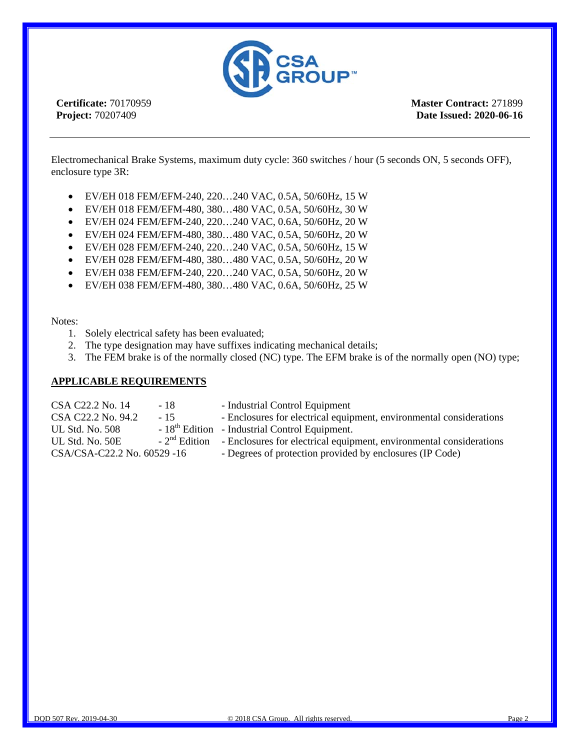

**Certificate:** 70170959 **Project:** 70207409

**Master Contract:** 271899 **Date Issued: 2020-06-16**

Electromechanical Brake Systems, maximum duty cycle: 360 switches / hour (5 seconds ON, 5 seconds OFF), enclosure type 3R:

- EV/EH 018 FEM/EFM-240, 220…240 VAC, 0.5A, 50/60Hz, 15 W
- EV/EH 018 FEM/EFM-480, 380…480 VAC, 0.5A, 50/60Hz, 30 W
- EV/EH 024 FEM/EFM-240, 220…240 VAC, 0.6A, 50/60Hz, 20 W
- EV/EH 024 FEM/EFM-480, 380…480 VAC, 0.5A, 50/60Hz, 20 W
- EV/EH 028 FEM/EFM-240, 220…240 VAC, 0.5A, 50/60Hz, 15 W
- EV/EH 028 FEM/EFM-480, 380…480 VAC, 0.5A, 50/60Hz, 20 W
- EV/EH 038 FEM/EFM-240, 220…240 VAC, 0.5A, 50/60Hz, 20 W
- EV/EH 038 FEM/EFM-480, 380…480 VAC, 0.6A, 50/60Hz, 25 W

#### Notes:

- 1. Solely electrical safety has been evaluated;
- 2. The type designation may have suffixes indicating mechanical details;
- 3. The FEM brake is of the normally closed (NC) type. The EFM brake is of the normally open (NO) type;

#### **APPLICABLE REQUIREMENTS**

| CSA C22.2 No. 14            | - 18  | - Industrial Control Equipment                                                                     |
|-----------------------------|-------|----------------------------------------------------------------------------------------------------|
| CSA C22.2 No. 94.2          | $-15$ | - Enclosures for electrical equipment, environmental considerations                                |
| UL Std. No. 508             |       | - 18 <sup>th</sup> Edition - Industrial Control Equipment.                                         |
| UL Std. No. 50E             |       | $\sim$ 2 <sup>nd</sup> Edition – Enclosures for electrical equipment, environmental considerations |
| CSA/CSA-C22.2 No. 60529 -16 |       | - Degrees of protection provided by enclosures (IP Code)                                           |